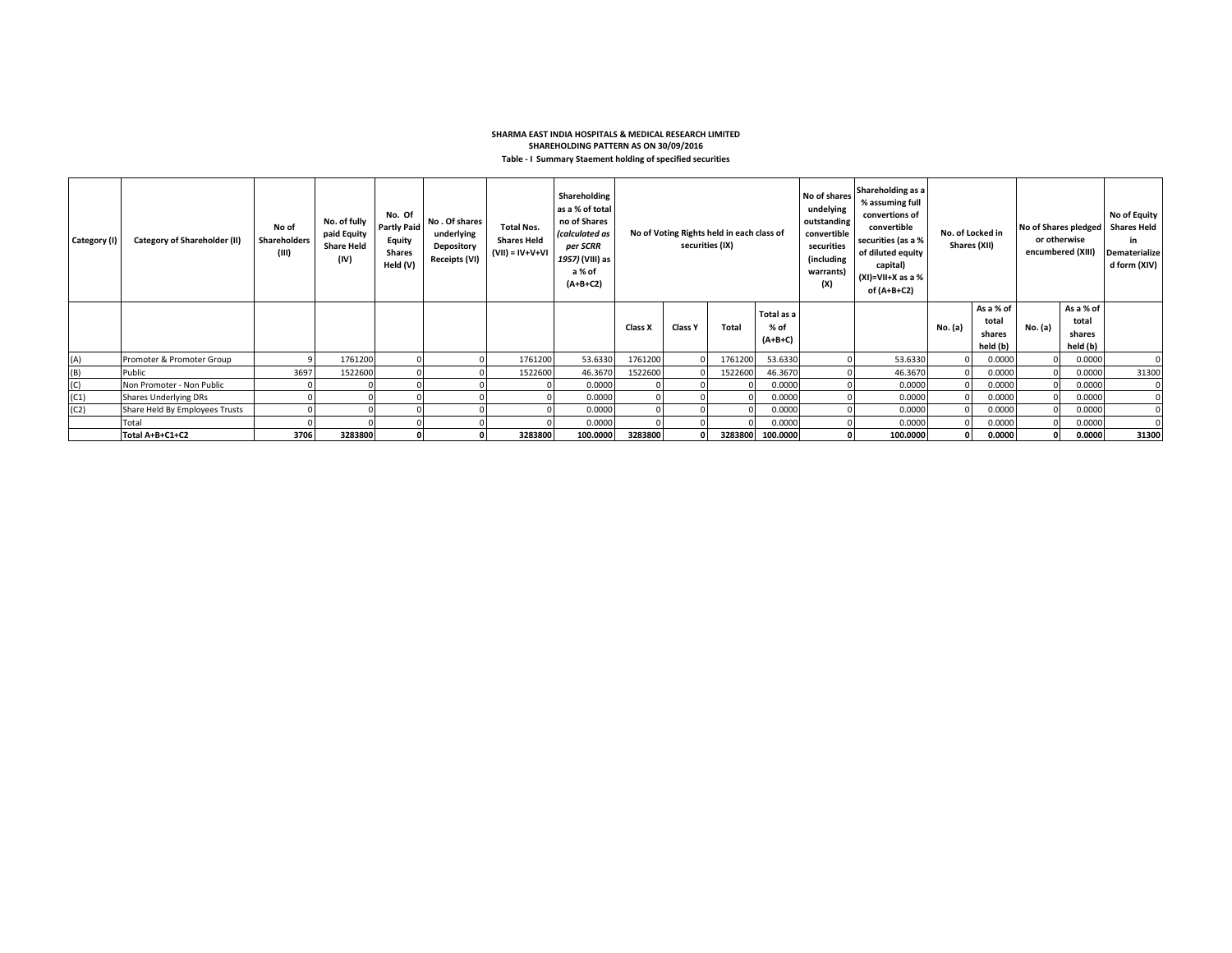## **SHARMA EAST INDIA HOSPITALS & MEDICAL RESEARCH LIMITED SHAREHOLDING PATTERN AS ON 30/09/2016 Table - I Summary Staement holding of specified securities**

| Category (I) | <b>Category of Shareholder (II)</b> | No of<br>Shareholders<br>(III) | No. of fully<br>paid Equity<br><b>Share Held</b><br>(IV) | No. Of<br><b>Partly Paid</b><br>Equity<br><b>Shares</b><br>Held (V) | No. Of shares<br>underlying<br>Depository<br><b>Receipts (VI)</b> | <b>Total Nos.</b><br><b>Shares Held</b><br>$(VII) = IV + V + VI$ | Shareholding<br>as a % of total<br>no of Shares<br>(calculated as<br>per SCRR<br>1957) (VIII) as<br>a % of<br>$(A+B+C2)$ | No of Voting Rights held in each class of<br>securities (IX) |                |         |                                 |  |          |         |                                          |         |                                          |             |  | Shareholding as a<br>No of shares<br>% assuming full<br>undelying<br>convertions of<br>outstanding<br>convertible<br>convertible<br>securities (as a %<br>securities<br>of diluted equity<br>(including<br>capital)<br>warrants)<br>$(XI)=VII+X$ as a %<br>(X)<br>of (A+B+C2) |  | No. of Locked in<br>Shares (XII) |  | No of Shares pledged<br>or otherwise<br>encumbered (XIII |  | No of Equity<br><b>Shares Held</b><br>in<br>Dematerialize<br>d form (XIV) |
|--------------|-------------------------------------|--------------------------------|----------------------------------------------------------|---------------------------------------------------------------------|-------------------------------------------------------------------|------------------------------------------------------------------|--------------------------------------------------------------------------------------------------------------------------|--------------------------------------------------------------|----------------|---------|---------------------------------|--|----------|---------|------------------------------------------|---------|------------------------------------------|-------------|--|-------------------------------------------------------------------------------------------------------------------------------------------------------------------------------------------------------------------------------------------------------------------------------|--|----------------------------------|--|----------------------------------------------------------|--|---------------------------------------------------------------------------|
|              |                                     |                                |                                                          |                                                                     |                                                                   |                                                                  |                                                                                                                          | Class X                                                      | <b>Class Y</b> | Total   | Total as a<br>% of<br>$(A+B+C)$ |  |          | No. (a) | As a % of<br>total<br>shares<br>held (b) | No. (a) | As a % of<br>total<br>shares<br>held (b) |             |  |                                                                                                                                                                                                                                                                               |  |                                  |  |                                                          |  |                                                                           |
| (A)          | Promoter & Promoter Group           |                                | 1761200                                                  |                                                                     |                                                                   | 1761200                                                          | 53.6330                                                                                                                  | 1761200                                                      |                | 1761200 | 53.6330                         |  | 53.6330  |         | 0.0000                                   |         | 0.0000                                   | 0           |  |                                                                                                                                                                                                                                                                               |  |                                  |  |                                                          |  |                                                                           |
| (B)          | Public                              | 3697                           | 1522600                                                  |                                                                     |                                                                   | 1522600                                                          | 46.3670                                                                                                                  | 1522600                                                      |                | 1522600 | 46.3670                         |  | 46.3670  |         | 0.0000                                   |         | 0.0000                                   | 31300       |  |                                                                                                                                                                                                                                                                               |  |                                  |  |                                                          |  |                                                                           |
| (C)          | Non Promoter - Non Public           |                                |                                                          |                                                                     |                                                                   |                                                                  | 0.0000                                                                                                                   |                                                              |                |         | 0.0000                          |  | 0.0000   |         | 0.0000                                   |         | 0.0000                                   | $\mathbf 0$ |  |                                                                                                                                                                                                                                                                               |  |                                  |  |                                                          |  |                                                                           |
| (C1)         | Shares Underlying DRs               |                                |                                                          |                                                                     |                                                                   |                                                                  | 0.0000                                                                                                                   |                                                              |                |         | 0.0000                          |  | 0.0000   |         | 0.0000                                   |         | 0.0000                                   |             |  |                                                                                                                                                                                                                                                                               |  |                                  |  |                                                          |  |                                                                           |
| (C2)         | Share Held By Employees Trusts      |                                |                                                          |                                                                     |                                                                   |                                                                  | 0.0000                                                                                                                   |                                                              |                |         | 0.0000                          |  | 0.0000   |         | 0.0000                                   |         | 0.0000                                   |             |  |                                                                                                                                                                                                                                                                               |  |                                  |  |                                                          |  |                                                                           |
|              | Total                               |                                |                                                          |                                                                     |                                                                   |                                                                  | 0.0000                                                                                                                   |                                                              |                |         | 0.0000                          |  | 0.0000   |         | 0.0000                                   |         | 0.0000                                   |             |  |                                                                                                                                                                                                                                                                               |  |                                  |  |                                                          |  |                                                                           |
|              | Total A+B+C1+C2                     | 3706                           | 3283800                                                  |                                                                     |                                                                   | 3283800                                                          | 100.0000                                                                                                                 | 3283800                                                      |                | 3283800 | 100.0000                        |  | 100.0000 |         | 0.0000                                   |         | 0.0000                                   | 31300       |  |                                                                                                                                                                                                                                                                               |  |                                  |  |                                                          |  |                                                                           |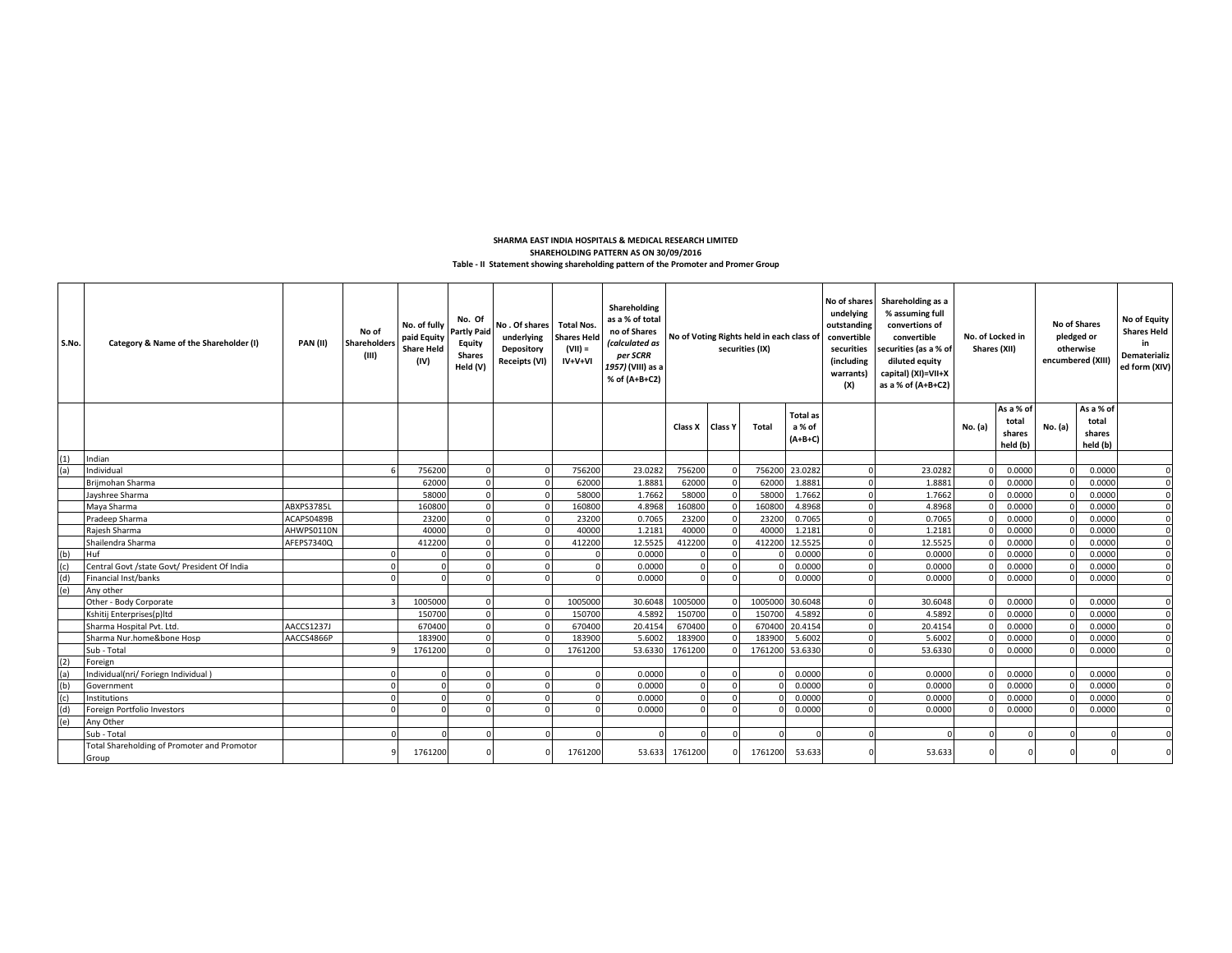## **Table - II Statement showing shareholding pattern of the Promoter and Promer Group SHAREHOLDING PATTERN AS ON 30/09/2016 SHARMA EAST INDIA HOSPITALS & MEDICAL RESEARCH LIMITED**

| S.No. | Category & Name of the Shareholder (I)               | <b>PAN (II)</b> | No of<br><b>Shareholders</b><br>(III) | No. of fully<br>paid Equity<br><b>Share Held</b><br>(IV) | No. Of<br><b>Partly Paid</b><br>Equity<br><b>Shares</b><br>Held (V) | No. Of shares Total Nos.<br>underlying<br>Depository<br><b>Receipts (VI)</b> | <b>Shares Held</b><br>$(VII) =$<br>IV+V+VI | Shareholding<br>as a % of total<br>no of Shares<br>(calculated as<br>per SCRR<br>1957) (VIII) as a<br>% of (A+B+C2) | No of Voting Rights held in each class of<br>securities (IX) |  |                 |                                        |            |         |          |                                          | (X)     |                                          | undelying<br>outstanding<br>convertible<br>securities<br>(including<br>warrants) | No of shares Shareholding as a<br>% assuming full<br>convertions of<br>No. of Locked in<br>convertible<br>Shares (XII)<br>securities (as a % of<br>diluted equity<br>capital) (XI)=VII+X<br>as a % of (A+B+C2) |  |  |  | <b>No of Shares</b><br>pledged or<br>otherwise<br>encumbered (XIII) | No of Equity<br><b>Shares Held</b><br>in<br>Dematerializ<br>ed form (XIV) |
|-------|------------------------------------------------------|-----------------|---------------------------------------|----------------------------------------------------------|---------------------------------------------------------------------|------------------------------------------------------------------------------|--------------------------------------------|---------------------------------------------------------------------------------------------------------------------|--------------------------------------------------------------|--|-----------------|----------------------------------------|------------|---------|----------|------------------------------------------|---------|------------------------------------------|----------------------------------------------------------------------------------|----------------------------------------------------------------------------------------------------------------------------------------------------------------------------------------------------------------|--|--|--|---------------------------------------------------------------------|---------------------------------------------------------------------------|
|       |                                                      |                 |                                       |                                                          |                                                                     |                                                                              |                                            |                                                                                                                     | Class X Class Y                                              |  | Total           | <b>Total as</b><br>a % of<br>$(A+B+C)$ |            |         | No. (a)  | As a % of<br>total<br>shares<br>held (b) | No. (a) | As a % of<br>total<br>shares<br>held (b) |                                                                                  |                                                                                                                                                                                                                |  |  |  |                                                                     |                                                                           |
| (1)   | Indian                                               |                 |                                       |                                                          |                                                                     |                                                                              |                                            |                                                                                                                     |                                                              |  |                 |                                        |            |         |          |                                          |         |                                          |                                                                                  |                                                                                                                                                                                                                |  |  |  |                                                                     |                                                                           |
| (a)   | Individual                                           |                 |                                       | 756200                                                   |                                                                     |                                                                              | 756200                                     | 23.0282                                                                                                             | 756200                                                       |  |                 | 756200 23.0282                         |            | 23.0282 |          | 0.0000                                   |         | 0.0000                                   | $\Omega$                                                                         |                                                                                                                                                                                                                |  |  |  |                                                                     |                                                                           |
|       | Briimohan Sharma                                     |                 |                                       | 62000                                                    |                                                                     |                                                                              | 62000                                      | 1.8881                                                                                                              | 62000                                                        |  | 62000           | 1.8881                                 |            | 1,8881  |          | 0.0000                                   |         | 0.0000                                   | $\Omega$                                                                         |                                                                                                                                                                                                                |  |  |  |                                                                     |                                                                           |
|       | Jayshree Sharma                                      |                 |                                       | 58000                                                    |                                                                     |                                                                              | 58000                                      | 1.7662                                                                                                              | 58000                                                        |  | 58000           | 1.7662                                 |            | 1.7662  |          | 0.0000                                   |         | 0.0000                                   | $\Omega$                                                                         |                                                                                                                                                                                                                |  |  |  |                                                                     |                                                                           |
|       | Maya Sharma                                          | ABXPS3785L      |                                       | 160800                                                   |                                                                     |                                                                              | 160800                                     | 4.8968                                                                                                              | 160800                                                       |  | 16080           | 4.8968                                 | $\Omega$   | 4.8968  | $\Omega$ | 0.0000                                   |         | 0.0000                                   | $\mathbf{0}$                                                                     |                                                                                                                                                                                                                |  |  |  |                                                                     |                                                                           |
|       | Pradeep Sharma                                       | ACAPS0489B      |                                       | 23200                                                    |                                                                     |                                                                              | 23200                                      | 0.7065                                                                                                              | 23200                                                        |  | 2320            | 0.7065                                 |            | 0.7065  |          | 0.0000                                   |         | 0.0000                                   | $\Omega$                                                                         |                                                                                                                                                                                                                |  |  |  |                                                                     |                                                                           |
|       | Raiesh Sharma                                        | AHWPS0110N      |                                       | 40000                                                    |                                                                     |                                                                              | 40000                                      | 1.2181                                                                                                              | 40000                                                        |  | 4000            | 1.2181                                 |            | 1.2181  |          | 0.0000                                   |         | 0.0000                                   | $\Omega$                                                                         |                                                                                                                                                                                                                |  |  |  |                                                                     |                                                                           |
|       | Shailendra Sharma                                    | AFEPS7340Q      |                                       | 412200                                                   |                                                                     |                                                                              | 412200                                     | 12.5525                                                                                                             | 412200                                                       |  | 412200          | 12.5525                                |            | 12.5525 |          | 0.0000                                   |         | 0.0000                                   | $\Omega$                                                                         |                                                                                                                                                                                                                |  |  |  |                                                                     |                                                                           |
| (b)   | Huf                                                  |                 |                                       |                                                          | ſ                                                                   |                                                                              | $\mathbf{0}$                               | 0.0000                                                                                                              | $\Omega$                                                     |  |                 | 0.0000                                 | n          | 0.0000  |          | 0.0000                                   |         | 0.0000                                   | $\Omega$                                                                         |                                                                                                                                                                                                                |  |  |  |                                                                     |                                                                           |
| (c)   | Central Govt /state Govt/ President Of India         |                 |                                       |                                                          |                                                                     |                                                                              | $\mathbf 0$                                | 0.0000                                                                                                              |                                                              |  |                 | 0.0000                                 |            | 0.0000  |          | 0.0000                                   |         | 0.0000                                   | $\Omega$                                                                         |                                                                                                                                                                                                                |  |  |  |                                                                     |                                                                           |
| (d)   | Financial Inst/banks                                 |                 |                                       |                                                          |                                                                     |                                                                              | $\Omega$                                   | 0.0000                                                                                                              | $\Omega$                                                     |  |                 | 0.0000                                 |            | 0.0000  |          | 0.0000                                   |         | 0.0000                                   | $\Omega$                                                                         |                                                                                                                                                                                                                |  |  |  |                                                                     |                                                                           |
| (e)   | Any other                                            |                 |                                       |                                                          |                                                                     |                                                                              |                                            |                                                                                                                     |                                                              |  |                 |                                        |            |         |          |                                          |         |                                          |                                                                                  |                                                                                                                                                                                                                |  |  |  |                                                                     |                                                                           |
|       | Other - Body Corporate                               |                 |                                       | 1005000                                                  |                                                                     |                                                                              | 1005000                                    | 30.6048                                                                                                             | 1005000                                                      |  | 1005000         | 30.6048                                | $\Omega$   | 30.6048 | $\Omega$ | 0.0000                                   |         | 0.0000                                   | $\Omega$                                                                         |                                                                                                                                                                                                                |  |  |  |                                                                     |                                                                           |
|       | Kshitij Enterprises(p)Itd                            |                 |                                       | 150700                                                   |                                                                     |                                                                              | 150700                                     | 4.5892                                                                                                              | 150700                                                       |  | 15070           | 4.5892                                 | $\sqrt{2}$ | 4.5892  |          | 0.0000                                   |         | 0.0000                                   | $\mathbf{0}$                                                                     |                                                                                                                                                                                                                |  |  |  |                                                                     |                                                                           |
|       | Sharma Hospital Pvt. Ltd.                            | AACCS1237J      |                                       | 670400                                                   |                                                                     |                                                                              | 670400                                     | 20.4154                                                                                                             | 670400                                                       |  | 67040           | 20.4154                                | $\Omega$   | 20.4154 |          | 0.0000                                   |         | 0.0000                                   | $\Omega$                                                                         |                                                                                                                                                                                                                |  |  |  |                                                                     |                                                                           |
|       | Sharma Nur.home&bone Hosp                            | AACCS4866P      |                                       | 183900                                                   |                                                                     |                                                                              | 183900                                     | 5.6002                                                                                                              | 183900                                                       |  | 18390           | 5.6002                                 | $\Omega$   | 5.6002  |          | 0.0000                                   |         | 0.0000                                   | $\circ$                                                                          |                                                                                                                                                                                                                |  |  |  |                                                                     |                                                                           |
|       | Sub - Total                                          |                 |                                       | 1761200                                                  | $\Omega$                                                            |                                                                              | 1761200                                    | 53.6330                                                                                                             | 1761200                                                      |  | 1761200 53.6330 |                                        |            | 53.6330 |          | 0.0000                                   |         | 0.0000                                   | $\Omega$                                                                         |                                                                                                                                                                                                                |  |  |  |                                                                     |                                                                           |
| (2)   | Foreign                                              |                 |                                       |                                                          |                                                                     |                                                                              |                                            |                                                                                                                     |                                                              |  |                 |                                        |            |         |          |                                          |         |                                          |                                                                                  |                                                                                                                                                                                                                |  |  |  |                                                                     |                                                                           |
| (a)   | Individual(nri/ Foriegn Individual)                  |                 |                                       |                                                          |                                                                     |                                                                              | $\Omega$                                   | 0.0000                                                                                                              | $\Omega$                                                     |  |                 | 0.0000                                 |            | 0.0000  | $\Omega$ | 0.0000                                   |         | 0.0000                                   | $\Omega$                                                                         |                                                                                                                                                                                                                |  |  |  |                                                                     |                                                                           |
| (b)   | Government                                           |                 |                                       |                                                          |                                                                     |                                                                              | $\Omega$                                   | 0.0000                                                                                                              | $\Omega$                                                     |  |                 | 0.0000                                 | $\Omega$   | 0.0000  | $\Omega$ | 0.0000                                   |         | 0.0000                                   | $\Omega$                                                                         |                                                                                                                                                                                                                |  |  |  |                                                                     |                                                                           |
| (c)   | Institutions                                         |                 |                                       |                                                          |                                                                     |                                                                              | $\mathbf 0$                                | 0.0000                                                                                                              | $\Omega$                                                     |  |                 | 0.0000                                 | $\Omega$   | 0.0000  |          | 0.0000                                   |         | 0.0000                                   | $\Omega$                                                                         |                                                                                                                                                                                                                |  |  |  |                                                                     |                                                                           |
| (d)   | Foreign Portfolio Investors                          |                 |                                       |                                                          |                                                                     |                                                                              | $\Omega$                                   | 0.0000                                                                                                              | $\Omega$                                                     |  |                 | 0.0000                                 |            | 0.0000  |          | 0.0000                                   |         | 0.0000                                   | $\Omega$                                                                         |                                                                                                                                                                                                                |  |  |  |                                                                     |                                                                           |
| (e)   | Any Other                                            |                 |                                       |                                                          |                                                                     |                                                                              |                                            |                                                                                                                     |                                                              |  |                 |                                        |            |         |          |                                          |         |                                          |                                                                                  |                                                                                                                                                                                                                |  |  |  |                                                                     |                                                                           |
|       | Sub - Total                                          |                 |                                       |                                                          |                                                                     |                                                                              | $\Omega$                                   | $\Omega$                                                                                                            |                                                              |  |                 |                                        |            |         | $\Omega$ | $\Omega$                                 |         |                                          | $\Omega$                                                                         |                                                                                                                                                                                                                |  |  |  |                                                                     |                                                                           |
|       | Total Shareholding of Promoter and Promotor<br>Group |                 |                                       | 1761200                                                  |                                                                     |                                                                              | 1761200                                    | 53.633                                                                                                              | 1761200                                                      |  | 1761200         | 53.633                                 |            | 53.633  |          |                                          |         |                                          |                                                                                  |                                                                                                                                                                                                                |  |  |  |                                                                     |                                                                           |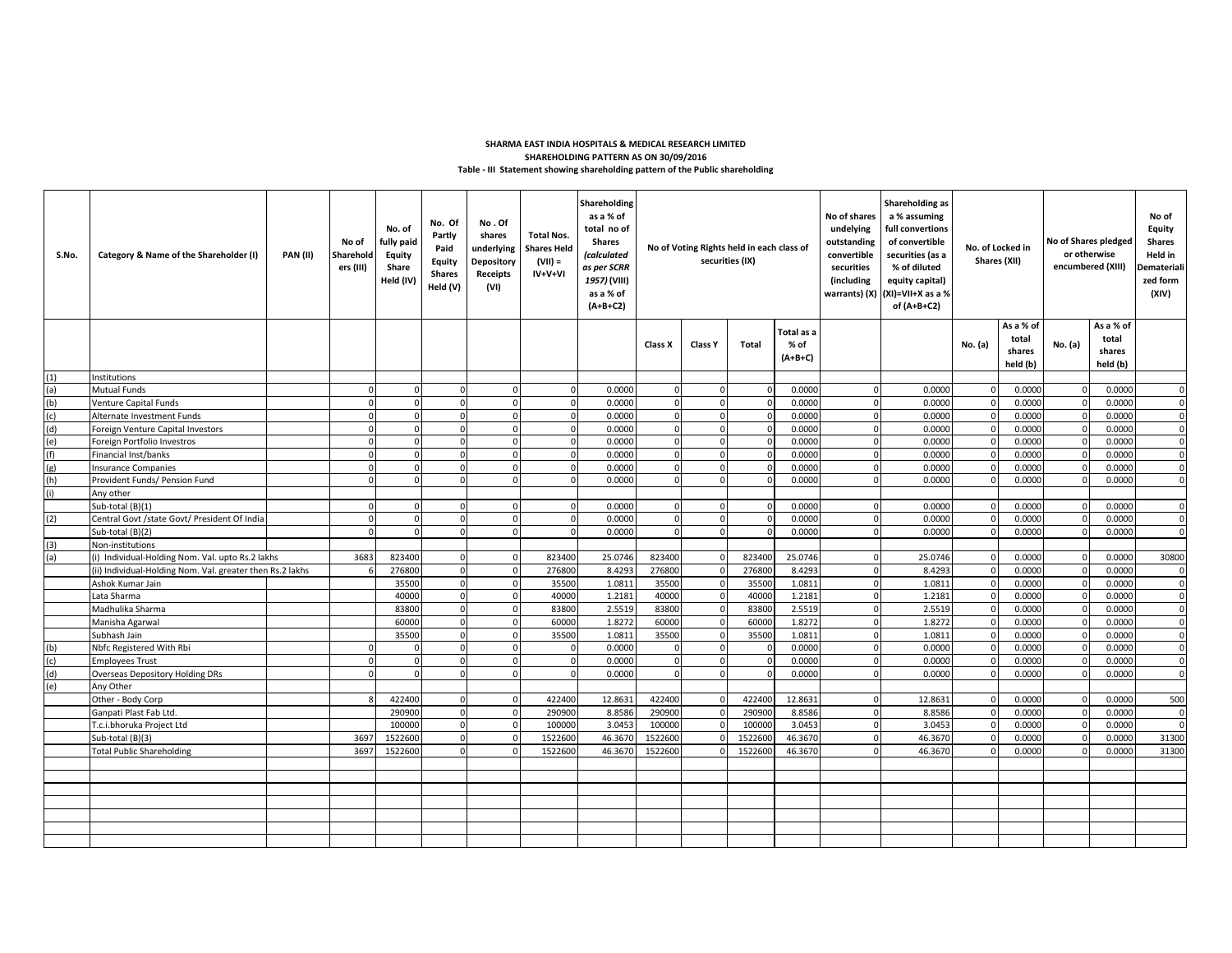## **Table - III Statement showing shareholding pattern of the Public shareholding SHARMA EAST INDIA HOSPITALS & MEDICAL RESEARCH LIMITED SHAREHOLDING PATTERN AS ON 30/09/2016**

| S.No.          | Category & Name of the Shareholder (I)                   | <b>PAN (II)</b> | No of<br>Sharehold<br>ers (III) | No. of<br>fully paid<br><b>Equity</b><br>Share<br>Held (IV) | No. Of<br>Partly<br>Paid<br>Equity<br><b>Shares</b><br>Held (V) | No.Of<br>shares<br>underlying<br><b>Depository</b><br>Receipts<br>(VI) | <b>Total Nos.</b><br><b>Shares Held</b><br>(VII) =<br>IV+V+VI | Shareholding<br>as a % of<br>total no of<br><b>Shares</b><br><i>(calculated</i><br>as per SCRR<br>1957) (VIII)<br>as a % of<br>$(A+B+C2)$ | No of Voting Rights held in each class of<br>securities (IX) |                |              | Shareholding as<br>a % assuming<br>No of shares<br>undelying<br>full convertions<br>outstanding<br>of convertible<br>convertible<br>securities (as a<br>% of diluted<br>securities<br>(including<br>equity capital)<br>(XI)=VII+X as a %<br>warrants) (X)<br>of (A+B+C2) |          | No. of Locked in<br>Shares (XII) |                | No of Shares pledged<br>or otherwise<br>encumbered (XIII) |              | No of<br><b>Equity</b><br><b>Shares</b><br>Held in<br>Demateriali<br>zed form<br>(XIV) |             |
|----------------|----------------------------------------------------------|-----------------|---------------------------------|-------------------------------------------------------------|-----------------------------------------------------------------|------------------------------------------------------------------------|---------------------------------------------------------------|-------------------------------------------------------------------------------------------------------------------------------------------|--------------------------------------------------------------|----------------|--------------|--------------------------------------------------------------------------------------------------------------------------------------------------------------------------------------------------------------------------------------------------------------------------|----------|----------------------------------|----------------|-----------------------------------------------------------|--------------|----------------------------------------------------------------------------------------|-------------|
|                |                                                          |                 |                                 |                                                             |                                                                 |                                                                        |                                                               |                                                                                                                                           | Class X                                                      | <b>Class Y</b> | Total        | Total as a<br>% of<br>$(A+B+C)$                                                                                                                                                                                                                                          |          |                                  | No. (a)        | As a % of<br>total<br>shares                              | No. (a)      | As a % of<br>total<br>shares                                                           |             |
| (1)            | <b>Institutions</b>                                      |                 |                                 |                                                             |                                                                 |                                                                        |                                                               |                                                                                                                                           |                                                              |                |              |                                                                                                                                                                                                                                                                          |          |                                  |                | held (b)                                                  |              | held (b)                                                                               |             |
| (a)            | Mutual Funds                                             |                 |                                 | $\mathbf{0}$                                                |                                                                 |                                                                        | $\Omega$                                                      | 0.0000                                                                                                                                    | $\Omega$                                                     |                | $\Omega$     | 0.0000                                                                                                                                                                                                                                                                   | $\Omega$ | 0.0000                           |                | 0.0000                                                    |              | 0.0000                                                                                 | $\Omega$    |
|                | <b>Venture Capital Funds</b>                             |                 |                                 | $\overline{0}$                                              | $\Omega$                                                        |                                                                        | $\mathbf 0$                                                   | 0.0000                                                                                                                                    | $\Omega$                                                     | $\Omega$       | $\mathbf{0}$ | 0.0000                                                                                                                                                                                                                                                                   | $\Omega$ | 0.0000                           | $\mathbf 0$    | 0.0000                                                    | $\mathbf{0}$ | 0.0000                                                                                 | $\mathbf 0$ |
| $\frac{1}{2}$  | Alternate Investment Funds                               |                 |                                 | $\mathbf 0$                                                 |                                                                 |                                                                        | $\mathbf 0$                                                   | 0.0000                                                                                                                                    | $\Omega$                                                     | $\Omega$       | $\Omega$     | 0.0000                                                                                                                                                                                                                                                                   | $\Omega$ | 0.0000                           |                | 0.0000                                                    | $\Omega$     | 0.0000                                                                                 | $\mathbf 0$ |
| $\overline{d}$ | Foreign Venture Capital Investors                        |                 |                                 | $\mathbf 0$                                                 |                                                                 |                                                                        | $\overline{0}$                                                | 0.0000                                                                                                                                    | $\Omega$                                                     | $\Omega$       | $\mathbf 0$  | 0.0000                                                                                                                                                                                                                                                                   | $\Omega$ | 0.0000                           | $\Omega$       | 0.0000                                                    | $\Omega$     | 0.0000                                                                                 | $\mathbf 0$ |
| (e)            | Foreign Portfolio Investros                              |                 |                                 | $\Omega$                                                    |                                                                 |                                                                        | $\mathbf 0$                                                   | 0.0000                                                                                                                                    | $\Omega$                                                     | $\Omega$       | $\Omega$     | 0.0000                                                                                                                                                                                                                                                                   | $\Omega$ | 0.0000                           | $\Omega$       | 0.0000                                                    | $\Omega$     | 0.0000                                                                                 | $\mathbf 0$ |
| (f)            | Financial Inst/banks                                     |                 |                                 | $\Omega$                                                    |                                                                 |                                                                        | $\mathbf 0$                                                   | 0.0000                                                                                                                                    | $\Omega$                                                     | $\Omega$       | $\mathbf{0}$ | 0.0000                                                                                                                                                                                                                                                                   | $\Omega$ | 0.0000                           | $\Omega$       | 0.0000                                                    | $\mathbf{0}$ | 0.0000                                                                                 | $\mathbf 0$ |
| (g)            | <b>Insurance Companies</b>                               |                 |                                 | $\Omega$                                                    |                                                                 |                                                                        | $\mathbf 0$                                                   | 0.0000                                                                                                                                    | $\Omega$                                                     | $\Omega$       | $\Omega$     | 0.0000                                                                                                                                                                                                                                                                   | $\Omega$ | 0.0000                           |                | 0.0000                                                    | $\Omega$     | 0.0000                                                                                 | $\mathbf 0$ |
| (h)            | Provident Funds/ Pension Fund                            |                 |                                 | $\mathbf 0$                                                 |                                                                 |                                                                        | $\mathbf 0$                                                   | 0.0000                                                                                                                                    | $\Omega$                                                     | $\mathbf 0$    | $\mathbf{0}$ | 0.0000                                                                                                                                                                                                                                                                   | $\Omega$ | 0.0000                           | $\overline{0}$ | 0.0000                                                    | $\mathsf 0$  | 0.0000                                                                                 | $\mathbf 0$ |
| (i)            | Any other                                                |                 |                                 |                                                             |                                                                 |                                                                        |                                                               |                                                                                                                                           |                                                              |                |              |                                                                                                                                                                                                                                                                          |          |                                  |                |                                                           |              |                                                                                        |             |
|                | Sub-total (B)(1)                                         |                 | $\Omega$                        | $\Omega$                                                    | $\Omega$                                                        |                                                                        | $\mathbf 0$                                                   | 0.0000                                                                                                                                    | $\Omega$                                                     | $\Omega$       | $\mathbf{0}$ | 0.0000                                                                                                                                                                                                                                                                   | $\Omega$ | 0.0000                           | $\Omega$       | 0.0000                                                    | $\mathbf 0$  | 0.0000                                                                                 | $\mathbf 0$ |
| (2)            | Central Govt /state Govt/ President Of India             |                 | $\Omega$                        | $\Omega$                                                    | $\Omega$                                                        |                                                                        | $\mathbf 0$                                                   | 0.0000                                                                                                                                    | $\Omega$                                                     | $\Omega$       | $\mathbf{0}$ | 0.0000                                                                                                                                                                                                                                                                   | $\Omega$ | 0.0000                           |                | 0.0000                                                    | $\Omega$     | 0.0000                                                                                 | $\Omega$    |
|                | Sub-total (B)(2)                                         |                 |                                 | $\Omega$                                                    | $\Omega$                                                        |                                                                        | $\mathbf 0$                                                   | 0.0000                                                                                                                                    | $\Omega$                                                     | $\Omega$       | $\Omega$     | 0.0000                                                                                                                                                                                                                                                                   | $\Omega$ | 0.0000                           | $\Omega$       | 0.0000                                                    | $\mathbf 0$  | 0.0000                                                                                 | $\mathbf 0$ |
| (3)            | Non-institutions                                         |                 |                                 |                                                             |                                                                 |                                                                        |                                                               |                                                                                                                                           |                                                              |                |              |                                                                                                                                                                                                                                                                          |          |                                  |                |                                                           |              |                                                                                        |             |
| (a)            | (i) Individual-Holding Nom. Val. upto Rs.2 lakhs         |                 | 3683                            | 823400                                                      | $\Omega$                                                        | $\Omega$                                                               | 823400                                                        | 25.0746                                                                                                                                   | 823400                                                       | $\mathbf 0$    | 823400       | 25.0746                                                                                                                                                                                                                                                                  | $\Omega$ | 25.0746                          | $\mathbf 0$    | 0.0000                                                    | $\mathbf 0$  | 0.0000                                                                                 | 30800       |
|                | ii) Individual-Holding Nom. Val. greater then Rs.2 lakhs |                 |                                 | 276800                                                      | $\Omega$                                                        | $\Omega$                                                               | 276800                                                        | 8.4293                                                                                                                                    | 276800                                                       | $\Omega$       | 276800       | 8.4293                                                                                                                                                                                                                                                                   | $\Omega$ | 8.4293                           |                | 0.0000                                                    | $\Omega$     | 0.0000                                                                                 | $\mathbf 0$ |
|                | Ashok Kumar Jain                                         |                 |                                 | 35500                                                       | $\Omega$                                                        | $\Omega$                                                               | 35500                                                         | 1.081                                                                                                                                     | 35500                                                        | $\Omega$       | 35500        | 1.0811                                                                                                                                                                                                                                                                   | $\Omega$ | 1.0811                           | $\Omega$       | 0.0000                                                    | $\mathbf 0$  | 0.0000                                                                                 | $\mathbf 0$ |
|                | Lata Sharma                                              |                 |                                 | 40000                                                       | $\Omega$                                                        | $\Omega$                                                               | 40000                                                         | 1.2181                                                                                                                                    | 40000                                                        | $\mathbf 0$    | 40000        | 1.2181                                                                                                                                                                                                                                                                   | $\Omega$ | 1.2181                           |                | 0.0000                                                    | $\Omega$     | 0.0000                                                                                 | $\mathbf 0$ |
|                | Madhulika Sharma                                         |                 |                                 | 83800                                                       | $\Omega$                                                        | $\Omega$                                                               | 83800                                                         | 2.5519                                                                                                                                    | 83800                                                        | $\mathbf 0$    | 83800        | 2.5519                                                                                                                                                                                                                                                                   | $\Omega$ | 2.5519                           | $\mathbf 0$    | 0.0000                                                    | $\mathsf 0$  | 0.0000                                                                                 | $\mathbf 0$ |
|                | Manisha Agarwal                                          |                 |                                 | 60000                                                       | $\Omega$                                                        | $\Omega$                                                               | 60000                                                         | 1.8272                                                                                                                                    | 60000                                                        | $\mathbf 0$    | 60000        | 1.8272                                                                                                                                                                                                                                                                   | $\Omega$ | 1.8272                           | $\Omega$       | 0.0000                                                    | $\mathbf 0$  | 0.0000                                                                                 | $\mathbf 0$ |
|                | Subhash Jain                                             |                 |                                 | 35500                                                       |                                                                 | $\Omega$                                                               | 35500                                                         | 1.0811                                                                                                                                    | 35500                                                        | $\Omega$       | 35500        | 1.0811                                                                                                                                                                                                                                                                   | $\Omega$ | 1.0811                           | $\Omega$       | 0.0000                                                    | $\Omega$     | 0.0000                                                                                 | $\mathbf 0$ |
| (b)            | Nbfc Registered With Rbi                                 |                 |                                 | $\Omega$                                                    |                                                                 | $\Omega$                                                               | $\Omega$                                                      | 0.0000                                                                                                                                    | <sup>0</sup>                                                 | $\Omega$       | $\Omega$     | 0.0000                                                                                                                                                                                                                                                                   | $\Omega$ | 0.0000                           |                | 0.0000                                                    |              | 0.0000                                                                                 | $\mathbf 0$ |
| (c)            | <b>Employees Trust</b>                                   |                 |                                 | $\Omega$                                                    |                                                                 |                                                                        | $\Omega$                                                      | 0.0000                                                                                                                                    | $\Omega$                                                     |                | $\Omega$     | 0.0000                                                                                                                                                                                                                                                                   |          | 0.0000                           |                | 0.000C                                                    |              | 0.0000                                                                                 | $\Omega$    |
| (d)            | <b>Overseas Depository Holding DRs</b>                   |                 |                                 | $\Omega$                                                    |                                                                 |                                                                        | $\Omega$                                                      | 0.0000                                                                                                                                    |                                                              |                | $\Omega$     | 0.0000                                                                                                                                                                                                                                                                   |          | 0.0000                           |                | 0.0000                                                    |              | 0.0000                                                                                 | $\Omega$    |
| (e)            | Any Other                                                |                 |                                 |                                                             |                                                                 |                                                                        |                                                               |                                                                                                                                           |                                                              |                |              |                                                                                                                                                                                                                                                                          |          |                                  |                |                                                           |              |                                                                                        |             |
|                | Other - Body Corp                                        |                 |                                 | 422400                                                      |                                                                 |                                                                        | 422400                                                        | 12.8631                                                                                                                                   | 422400                                                       |                | 422400       | 12.8631                                                                                                                                                                                                                                                                  | $\Omega$ | 12.8631                          |                | 0.0000                                                    |              | 0.0000                                                                                 | 500         |
|                | Ganpati Plast Fab Ltd.                                   |                 |                                 | 290900                                                      |                                                                 |                                                                        | 290900                                                        | 8.8586                                                                                                                                    | 290900                                                       |                | 290900       | 8.8586                                                                                                                                                                                                                                                                   | $\Omega$ | 8.8586                           |                | 0.0000                                                    |              | 0.0000                                                                                 | $\mathbf 0$ |
|                | T.c.i.bhoruka Project Ltd                                |                 |                                 | 100000                                                      | $\Omega$                                                        |                                                                        | 100000                                                        | 3.0453                                                                                                                                    | 100000                                                       |                | 100000       | 3.0453                                                                                                                                                                                                                                                                   | $\Omega$ | 3.0453                           |                | 0.0000                                                    |              | 0.000C                                                                                 | $\Omega$    |
|                | Sub-total (B)(3)                                         |                 | 3697                            | 1522600                                                     |                                                                 |                                                                        | 1522600                                                       | 46.3670                                                                                                                                   | 1522600                                                      |                | 1522600      | 46.3670                                                                                                                                                                                                                                                                  | $\Omega$ | 46.3670                          |                | 0.0000                                                    |              | 0.000C                                                                                 | 31300       |
|                | <b>Total Public Shareholding</b>                         |                 | 3697                            | 1522600                                                     |                                                                 |                                                                        | 1522600                                                       | 46.3670                                                                                                                                   | 1522600                                                      |                | 1522600      | 46.3670                                                                                                                                                                                                                                                                  | $\Omega$ | 46.3670                          |                | 0.0000                                                    |              | 0.0000                                                                                 | 31300       |
|                |                                                          |                 |                                 |                                                             |                                                                 |                                                                        |                                                               |                                                                                                                                           |                                                              |                |              |                                                                                                                                                                                                                                                                          |          |                                  |                |                                                           |              |                                                                                        |             |
|                |                                                          |                 |                                 |                                                             |                                                                 |                                                                        |                                                               |                                                                                                                                           |                                                              |                |              |                                                                                                                                                                                                                                                                          |          |                                  |                |                                                           |              |                                                                                        |             |
|                |                                                          |                 |                                 |                                                             |                                                                 |                                                                        |                                                               |                                                                                                                                           |                                                              |                |              |                                                                                                                                                                                                                                                                          |          |                                  |                |                                                           |              |                                                                                        |             |
|                |                                                          |                 |                                 |                                                             |                                                                 |                                                                        |                                                               |                                                                                                                                           |                                                              |                |              |                                                                                                                                                                                                                                                                          |          |                                  |                |                                                           |              |                                                                                        |             |
|                |                                                          |                 |                                 |                                                             |                                                                 |                                                                        |                                                               |                                                                                                                                           |                                                              |                |              |                                                                                                                                                                                                                                                                          |          |                                  |                |                                                           |              |                                                                                        |             |
|                |                                                          |                 |                                 |                                                             |                                                                 |                                                                        |                                                               |                                                                                                                                           |                                                              |                |              |                                                                                                                                                                                                                                                                          |          |                                  |                |                                                           |              |                                                                                        |             |
|                |                                                          |                 |                                 |                                                             |                                                                 |                                                                        |                                                               |                                                                                                                                           |                                                              |                |              |                                                                                                                                                                                                                                                                          |          |                                  |                |                                                           |              |                                                                                        |             |